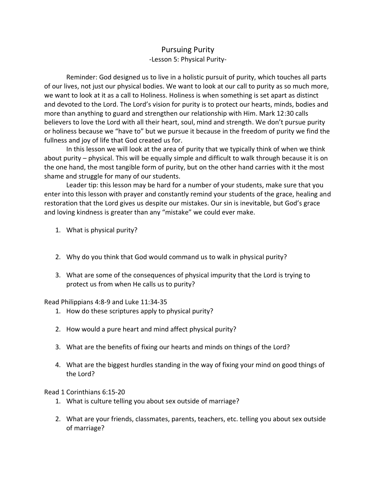## Pursuing Purity -Lesson 5: Physical Purity-

Reminder: God designed us to live in a holistic pursuit of purity, which touches all parts of our lives, not just our physical bodies. We want to look at our call to purity as so much more, we want to look at it as a call to Holiness. Holiness is when something is set apart as distinct and devoted to the Lord. The Lord's vision for purity is to protect our hearts, minds, bodies and more than anything to guard and strengthen our relationship with Him. Mark 12:30 calls believers to love the Lord with all their heart, soul, mind and strength. We don't pursue purity or holiness because we "have to" but we pursue it because in the freedom of purity we find the fullness and joy of life that God created us for.

In this lesson we will look at the area of purity that we typically think of when we think about purity – physical. This will be equally simple and difficult to walk through because it is on the one hand, the most tangible form of purity, but on the other hand carries with it the most shame and struggle for many of our students.

Leader tip: this lesson may be hard for a number of your students, make sure that you enter into this lesson with prayer and constantly remind your students of the grace, healing and restoration that the Lord gives us despite our mistakes. Our sin is inevitable, but God's grace and loving kindness is greater than any "mistake" we could ever make.

- 1. What is physical purity?
- 2. Why do you think that God would command us to walk in physical purity?
- 3. What are some of the consequences of physical impurity that the Lord is trying to protect us from when He calls us to purity?

Read Philippians 4:8-9 and Luke 11:34-35

- 1. How do these scriptures apply to physical purity?
- 2. How would a pure heart and mind affect physical purity?
- 3. What are the benefits of fixing our hearts and minds on things of the Lord?
- 4. What are the biggest hurdles standing in the way of fixing your mind on good things of the Lord?

Read 1 Corinthians 6:15-20

- 1. What is culture telling you about sex outside of marriage?
- 2. What are your friends, classmates, parents, teachers, etc. telling you about sex outside of marriage?